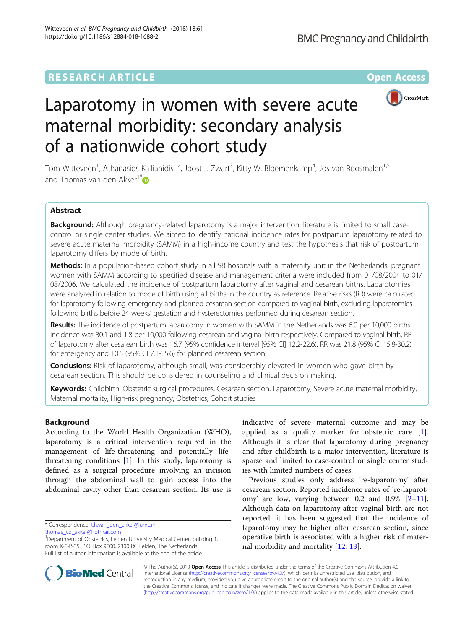# **RESEARCH ARTICLE Example 2018 12:00 Department of the CONNECTION CONNECTION CONNECTION CONNECTION CONNECTION**



# Laparotomy in women with severe acute maternal morbidity: secondary analysis of a nationwide cohort study

Tom Witteveen<sup>1</sup>, Athanasios Kallianidis<sup>1,2</sup>, Joost J. Zwart<sup>3</sup>, Kitty W. Bloemenkamp<sup>4</sup>, Jos van Roosmalen<sup>1,5</sup> and Thomas van den Akker<sup>1\*</sup>

# Abstract

Background: Although pregnancy-related laparotomy is a major intervention, literature is limited to small casecontrol or single center studies. We aimed to identify national incidence rates for postpartum laparotomy related to severe acute maternal morbidity (SAMM) in a high-income country and test the hypothesis that risk of postpartum laparotomy differs by mode of birth.

Methods: In a population-based cohort study in all 98 hospitals with a maternity unit in the Netherlands, pregnant women with SAMM according to specified disease and management criteria were included from 01/08/2004 to 01/ 08/2006. We calculated the incidence of postpartum laparotomy after vaginal and cesarean births. Laparotomies were analyzed in relation to mode of birth using all births in the country as reference. Relative risks (RR) were calculated for laparotomy following emergency and planned cesarean section compared to vaginal birth, excluding laparotomies following births before 24 weeks' gestation and hysterectomies performed during cesarean section.

Results: The incidence of postpartum laparotomy in women with SAMM in the Netherlands was 6.0 per 10,000 births. Incidence was 30.1 and 1.8 per 10,000 following cesarean and vaginal birth respectively. Compared to vaginal birth, RR of laparotomy after cesarean birth was 16.7 (95% confidence interval [95% CI] 12.2-22.6). RR was 21.8 (95% CI 15.8-30.2) for emergency and 10.5 (95% CI 7.1-15.6) for planned cesarean section.

**Conclusions:** Risk of laparotomy, although small, was considerably elevated in women who gave birth by cesarean section. This should be considered in counseling and clinical decision making.

Keywords: Childbirth, Obstetric surgical procedures, Cesarean section, Laparotomy, Severe acute maternal morbidity, Maternal mortality, High-risk pregnancy, Obstetrics, Cohort studies

## Background

According to the World Health Organization (WHO), laparotomy is a critical intervention required in the management of life-threatening and potentially lifethreatening conditions  $[1]$ . In this study, laparotomy is defined as a surgical procedure involving an incision through the abdominal wall to gain access into the abdominal cavity other than cesarean section. Its use is

\* Correspondence: [t.h.van\\_den\\_akker@lumc.nl;](mailto:t.h.van_den_akker@lumc.nl)

[thomas\\_vd\\_akker@hotmail.com](mailto:thomas_vd_akker@hotmail.com)

<sup>1</sup>Department of Obstetrics, Leiden University Medical Center, building 1, room K-6-P-35, P.O. Box 9600, 2300 RC Leiden, The Netherlands Full list of author information is available at the end of the article

indicative of severe maternal outcome and may be applied as a quality marker for obstetric care [\[1](#page-5-0)]. Although it is clear that laparotomy during pregnancy and after childbirth is a major intervention, literature is sparse and limited to case-control or single center studies with limited numbers of cases.

Previous studies only address 're-laparotomy' after cesarean section. Reported incidence rates of 're-laparot-omy' are low, varying between 0.[2](#page-5-0) and 0.9%  $[2-11]$  $[2-11]$  $[2-11]$ . Although data on laparotomy after vaginal birth are not reported, it has been suggested that the incidence of laparotomy may be higher after cesarean section, since operative birth is associated with a higher risk of maternal morbidity and mortality [\[12](#page-5-0), [13](#page-5-0)].



© The Author(s). 2018 Open Access This article is distributed under the terms of the Creative Commons Attribution 4.0 International License [\(http://creativecommons.org/licenses/by/4.0/](http://creativecommons.org/licenses/by/4.0/)), which permits unrestricted use, distribution, and reproduction in any medium, provided you give appropriate credit to the original author(s) and the source, provide a link to the Creative Commons license, and indicate if changes were made. The Creative Commons Public Domain Dedication waiver [\(http://creativecommons.org/publicdomain/zero/1.0/](http://creativecommons.org/publicdomain/zero/1.0/)) applies to the data made available in this article, unless otherwise stated.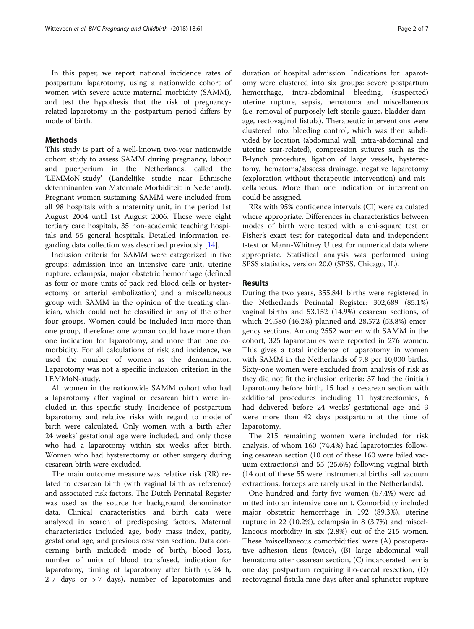In this paper, we report national incidence rates of postpartum laparotomy, using a nationwide cohort of women with severe acute maternal morbidity (SAMM), and test the hypothesis that the risk of pregnancyrelated laparotomy in the postpartum period differs by mode of birth.

## Methods

This study is part of a well-known two-year nationwide cohort study to assess SAMM during pregnancy, labour and puerperium in the Netherlands, called the 'LEMMoN-study' (Landelijke studie naar Ethnische determinanten van Maternale Morbiditeit in Nederland). Pregnant women sustaining SAMM were included from all 98 hospitals with a maternity unit, in the period 1st August 2004 until 1st August 2006. These were eight tertiary care hospitals, 35 non-academic teaching hospitals and 55 general hospitals. Detailed information regarding data collection was described previously [[14](#page-5-0)].

Inclusion criteria for SAMM were categorized in five groups: admission into an intensive care unit, uterine rupture, eclampsia, major obstetric hemorrhage (defined as four or more units of pack red blood cells or hysterectomy or arterial embolization) and a miscellaneous group with SAMM in the opinion of the treating clinician, which could not be classified in any of the other four groups. Women could be included into more than one group, therefore: one woman could have more than one indication for laparotomy, and more than one comorbidity. For all calculations of risk and incidence, we used the number of women as the denominator. Laparotomy was not a specific inclusion criterion in the LEMMoN-study.

All women in the nationwide SAMM cohort who had a laparotomy after vaginal or cesarean birth were included in this specific study. Incidence of postpartum laparotomy and relative risks with regard to mode of birth were calculated. Only women with a birth after 24 weeks' gestational age were included, and only those who had a laparotomy within six weeks after birth. Women who had hysterectomy or other surgery during cesarean birth were excluded.

The main outcome measure was relative risk (RR) related to cesarean birth (with vaginal birth as reference) and associated risk factors. The Dutch Perinatal Register was used as the source for background denominator data. Clinical characteristics and birth data were analyzed in search of predisposing factors. Maternal characteristics included age, body mass index, parity, gestational age, and previous cesarean section. Data concerning birth included: mode of birth, blood loss, number of units of blood transfused, indication for laparotomy, timing of laparotomy after birth (< 24 h, 2-7 days or  $>7$  days), number of laparotomies and

duration of hospital admission. Indications for laparotomy were clustered into six groups: severe postpartum hemorrhage, intra-abdominal bleeding, (suspected) uterine rupture, sepsis, hematoma and miscellaneous (i.e. removal of purposely-left sterile gauze, bladder damage, rectovaginal fistula). Therapeutic interventions were clustered into: bleeding control, which was then subdivided by location (abdominal wall, intra-abdominal and uterine scar-related), compression sutures such as the B-lynch procedure, ligation of large vessels, hysterectomy, hematoma/abscess drainage, negative laparotomy (exploration without therapeutic intervention) and miscellaneous. More than one indication or intervention could be assigned.

RRs with 95% confidence intervals (CI) were calculated where appropriate. Differences in characteristics between modes of birth were tested with a chi-square test or Fisher's exact test for categorical data and independent t-test or Mann-Whitney U test for numerical data where appropriate. Statistical analysis was performed using SPSS statistics, version 20.0 (SPSS, Chicago, IL).

## Results

During the two years, 355,841 births were registered in the Netherlands Perinatal Register: 302,689 (85.1%) vaginal births and 53,152 (14.9%) cesarean sections, of which 24,580 (46.2%) planned and 28,572 (53.8%) emergency sections. Among 2552 women with SAMM in the cohort, 325 laparotomies were reported in 276 women. This gives a total incidence of laparotomy in women with SAMM in the Netherlands of 7.8 per 10,000 births. Sixty-one women were excluded from analysis of risk as they did not fit the inclusion criteria: 37 had the (initial) laparotomy before birth, 15 had a cesarean section with additional procedures including 11 hysterectomies, 6 had delivered before 24 weeks' gestational age and 3 were more than 42 days postpartum at the time of laparotomy.

The 215 remaining women were included for risk analysis, of whom 160 (74.4%) had laparotomies following cesarean section (10 out of these 160 were failed vacuum extractions) and 55 (25.6%) following vaginal birth (14 out of these 55 were instrumental births -all vacuum extractions, forceps are rarely used in the Netherlands).

One hundred and forty-five women (67.4%) were admitted into an intensive care unit. Comorbidity included major obstetric hemorrhage in 192 (89.3%), uterine rupture in 22 (10.2%), eclampsia in 8 (3.7%) and miscellaneous morbidity in six (2.8%) out of the 215 women. These 'miscellaneous comorbidities' were (A) postoperative adhesion ileus (twice), (B) large abdominal wall hematoma after cesarean section, (C) incarcerated hernia one day postpartum requiring ilio-caecal resection, (D) rectovaginal fistula nine days after anal sphincter rupture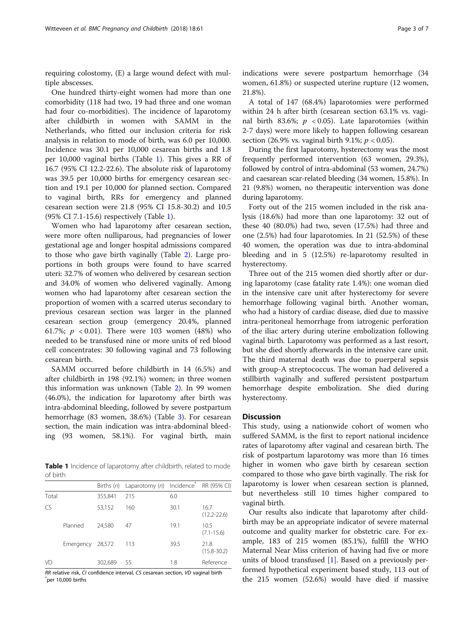requiring colostomy, (E) a large wound defect with multiple abscesses.

One hundred thirty-eight women had more than one comorbidity (118 had two, 19 had three and one woman had four co-morbidities). The incidence of laparotomy after childbirth in women with SAMM in the Netherlands, who fitted our inclusion criteria for risk analysis in relation to mode of birth, was 6.0 per 10,000. Incidence was 30.1 per 10,000 cesarean births and 1.8 per 10,000 vaginal births (Table 1). This gives a RR of 16.7 (95% CI 12.2-22.6). The absolute risk of laparotomy was 39.5 per 10,000 births for emergency cesarean section and 19.1 per 10,000 for planned section. Compared to vaginal birth, RRs for emergency and planned cesarean section were 21.8 (95% CI 15.8-30.2) and 10.5 (95% CI 7.1-15.6) respectively (Table 1).

Women who had laparotomy after cesarean section, were more often nulliparous, had pregnancies of lower gestational age and longer hospital admissions compared to those who gave birth vaginally (Table [2](#page-3-0)). Large proportions in both groups were found to have scarred uteri: 32.7% of women who delivered by cesarean section and 34.0% of women who delivered vaginally. Among women who had laparotomy after cesarean section the proportion of women with a scarred uterus secondary to previous cesarean section was larger in the planned cesarean section group (emergency 20.4%, planned 61.7%;  $p < 0.01$ ). There were 103 women (48%) who needed to be transfused nine or more units of red blood cell concentrates: 30 following vaginal and 73 following cesarean birth.

SAMM occurred before childbirth in 14 (6.5%) and after childbirth in 198 (92.1%) women; in three women this information was unknown (Table [2](#page-3-0)). In 99 women (46.0%), the indication for laparotomy after birth was intra-abdominal bleeding, followed by severe postpartum hemorrhage (83 women, 38.6%) (Table [3](#page-3-0)). For cesarean section, the main indication was intra-abdominal bleeding (93 women, 58.1%). For vaginal birth, main

Table 1 Incidence of laparotomy after childbirth, related to mode of birth

|       |           | Births (n) | Laparotomy (n) Incidence <sup>*</sup> RR (95% CI) |      |                         |
|-------|-----------|------------|---------------------------------------------------|------|-------------------------|
| Total |           | 355,841    | 215                                               | 6.0  |                         |
| CS    |           | 53,152     | 160                                               | 30.1 | 16.7<br>$(12.2 - 22.6)$ |
|       | Planned   | 24,580     | 47                                                | 19.1 | 10.5<br>$(7.1 - 15.6)$  |
|       | Emergency | 28,572     | 113                                               | 39.5 | 21.8<br>$(15.8 - 30.2)$ |
| VD    |           | 302,689    | 55                                                | 1.8  | Reference               |

RR relative risk, CI confidence interval, CS cesarean section, VD vaginal birth per 10,000 births

A total of 147 (68.4%) laparotomies were performed within 24 h after birth (cesarean section 63.1% vs. vaginal birth 83.6%;  $p \le 0.05$ ). Late laparotomies (within 2-7 days) were more likely to happen following cesarean section (26.9% vs. vaginal birth 9.1%;  $p < 0.05$ ).

During the first laparotomy, hysterectomy was the most frequently performed intervention (63 women, 29.3%), followed by control of intra-abdominal (53 women, 24.7%) and caesarean scar-related bleeding (34 women, 15.8%). In 21 (9.8%) women, no therapeutic intervention was done during laparotomy.

Forty out of the 215 women included in the risk analysis (18.6%) had more than one laparotomy: 32 out of these 40 (80.0%) had two, seven (17.5%) had three and one (2.5%) had four laparotomies. In 21 (52.5%) of these 40 women, the operation was due to intra-abdominal bleeding and in 5 (12.5%) re-laparotomy resulted in hysterectomy.

Three out of the 215 women died shortly after or during laparotomy (case fatality rate 1.4%): one woman died in the intensive care unit after hysterectomy for severe hemorrhage following vaginal birth. Another woman, who had a history of cardiac disease, died due to massive intra-peritoneal hemorrhage from iatrogenic perforation of the iliac artery during uterine embolization following vaginal birth. Laparotomy was performed as a last resort, but she died shortly afterwards in the intensive care unit. The third maternal death was due to puerperal sepsis with group-A streptococcus. The woman had delivered a stillbirth vaginally and suffered persistent postpartum hemorrhage despite embolization. She died during hysterectomy.

## **Discussion**

This study, using a nationwide cohort of women who suffered SAMM, is the first to report national incidence rates of laparotomy after vaginal and cesarean birth. The risk of postpartum laparotomy was more than 16 times higher in women who gave birth by cesarean section compared to those who gave birth vaginally. The risk for laparotomy is lower when cesarean section is planned, but nevertheless still 10 times higher compared to vaginal birth.

Our results also indicate that laparotomy after childbirth may be an appropriate indicator of severe maternal outcome and quality marker for obstetric care. For example, 183 of 215 women (85.1%), fulfill the WHO Maternal Near Miss criterion of having had five or more units of blood transfused [[1\]](#page-5-0). Based on a previously performed hypothetical experiment based study, 113 out of the 215 women (52.6%) would have died if massive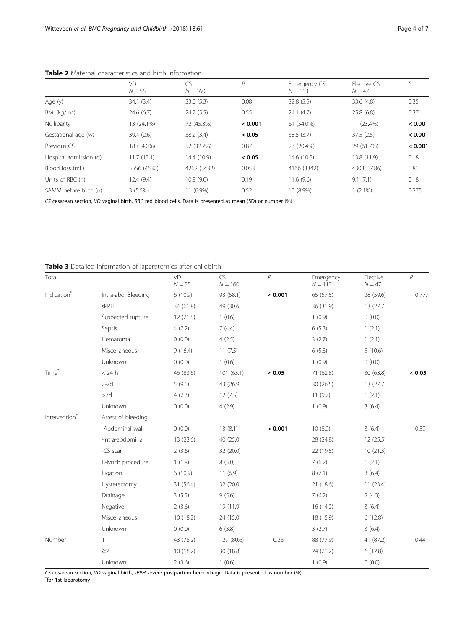|                        | VD<br>$N = 55$ | CS<br>$N = 160$ | $\overline{P}$ | Emergency CS<br>$N = 113$ | Flective CS<br>$N = 47$ | P       |
|------------------------|----------------|-----------------|----------------|---------------------------|-------------------------|---------|
| Age (y)                | 34.1(3.4)      | 33.0(5.3)       | 0.08           | 32.8(5.5)                 | 33.6 (4.8)              | 0.35    |
| BMI ( $kg/m2$ )        | 24.6(6.7)      | 24.7(5.5)       | 0.55           | 24.1(4.7)                 | 25.8(6.8)               | 0.37    |
| Nulliparity            | 13 (24.1%)     | 72 (45.3%)      | < 0.001        | 61 (54.0%)                | 11 (23.4%)              | < 0.001 |
| Gestational age (w)    | 39.4(2.6)      | 38.2 (3.4)      | < 0.05         | 38.5(3.7)                 | 37.5(2.5)               | < 0.001 |
| Previous CS            | 18 (34.0%)     | 52 (32.7%)      | 0.87           | 23 (20.4%)                | 29 (61.7%)              | < 0.001 |
| Hospital admission (d) | 11.7(13.1)     | 14.4 (10.9)     | < 0.05         | 14.6 (10.5)               | 13.8 (11.9)             | 0.18    |
| Blood loss (mL)        | 5556 (4532)    | 4262 (3432)     | 0.053          | 4166 (3342)               | 4303 (3486)             | 0.81    |
| Units of RBC (n)       | 12.4 (9.4)     | 10.8(9.0)       | 0.19           | 11.6(9.6)                 | 9.1(7.1)                | 0.18    |
| SAMM before birth (n)  | $3(5.5\%)$     | 11 (6.9%)       | 0.52           | 10 (8.9%)                 | $1(2.1\%)$              | 0.275   |

<span id="page-3-0"></span>Table 2 Maternal characteristics and birth information

CS cesarean section, VD vaginal birth, RBC red blood cells. Data is presented as mean (SD) or number (%)

# Table 3 Detailed information of laparotomies after childbirth

| Total                     |                     | VD<br>$N = 55$ | CS<br>$N = 160$ | $\mathcal{P}$ | Emergency<br>$N = 113$ | Elective<br>$N = 47$ | $\mathcal{P}$ |
|---------------------------|---------------------|----------------|-----------------|---------------|------------------------|----------------------|---------------|
| Indication <sup>*</sup>   | Intra-abd. Bleeding | 6(10.9)        | 93 (58.1)       | < 0.001       | 65 (57.5)              | 28 (59.6)            | 0.777         |
|                           | sPPH                | 34 (61.8)      | 49 (30.6)       |               | 36 (31.9)              | 13(27.7)             |               |
|                           | Suspected rupture   | 12(21.8)       | 1(0.6)          |               | 1(0.9)                 | 0(0.0)               |               |
|                           | Sepsis              | 4(7.2)         | 7(4.4)          |               | 6(5.3)                 | 1(2.1)               |               |
|                           | Hematoma            | 0(0.0)         | 4(2.5)          |               | 3(2.7)                 | 1(2.1)               |               |
|                           | Miscellaneous       | 9(16.4)        | 11(7.5)         |               | 6(5.3)                 | 5(10.6)              |               |
|                           | Unknown             | 0(0.0)         | 1(0.6)          |               | 1(0.9)                 | 0(0.0)               |               |
| Time <sup>®</sup>         | < 24 h              | 46 (83.6)      | 101(63.1)       | < 0.05        | 71 (62.8)              | 30 (63.8)            | < 0.05        |
|                           | $2-7d$              | 5(9.1)         | 43 (26.9)       |               | 30 (26.5)              | 13(27.7)             |               |
|                           | >7d                 | 4(7.3)         | 12(7.5)         |               | 11(9.7)                | 1(2.1)               |               |
|                           | Unknown             | 0(0.0)         | 4(2.9)          |               | 1(0.9)                 | 3(6.4)               |               |
| Intervention <sup>*</sup> | Arrest of bleeding: |                |                 |               |                        |                      |               |
|                           | -Abdominal wall     | 0(0.0)         | 13(8.1)         | < 0.001       | 10(8.9)                | 3(6.4)               | 0.591         |
|                           | -Intra-abdominal    | 13 (23.6)      | 40 (25.0)       |               | 28 (24.8)              | 12 (25.5)            |               |
|                           | -CS scar            | 2(3.6)         | 32 (20.0)       |               | 22 (19.5)              | 10(21.3)             |               |
|                           | B-lynch procedure   | 1(1.8)         | 8(5.0)          |               | 7(6.2)                 | 1(2.1)               |               |
|                           | Ligation            | 6(10.9)        | 11(6.9)         |               | 8(7.1)                 | 3(6.4)               |               |
|                           | Hysterectomy        | 31 (56.4)      | 32 (20.0)       |               | 21 (18.6)              | 11(23.4)             |               |
|                           | Drainage            | 3(5.5)         | 9(5.6)          |               | 7(6.2)                 | 2(4.3)               |               |
|                           | Negative            | 2(3.6)         | 19 (11.9)       |               | 16(14.2)               | 3(6.4)               |               |
|                           | Miscellaneous       | 10(18.2)       | 24 (15.0)       |               | 18 (15.9)              | 6(12.8)              |               |
|                           | Unknown             | 0(0.0)         | 6(3.8)          |               | 3(2.7)                 | 3(6.4)               |               |
| Number                    | 1                   | 43 (78.2)      | 129 (80.6)      | 0.26          | 88 (77.9)              | 41 (87.2)            | 0.44          |
|                           | $\geq$ 2            | 10(18.2)       | 30 (18.8)       |               | 24 (21.2)              | 6(12.8)              |               |
|                           | Unknown             | 2(3.6)         | 1(0.6)          |               | 1(0.9)                 | 0(0.0)               |               |

CS cesarean section, VD vaginal birth, sPPH severe postpartum hemorrhage. Data is presented as number (%) \*

for 1st laparotomy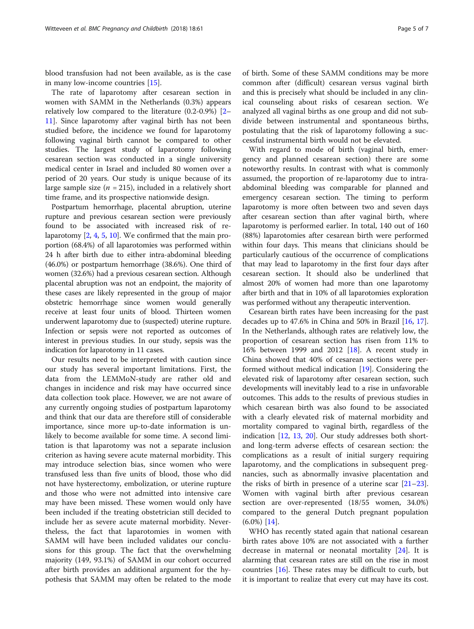blood transfusion had not been available, as is the case in many low-income countries [\[15\]](#page-5-0).

The rate of laparotomy after cesarean section in women with SAMM in the Netherlands (0.3%) appears relatively low compared to the literature (0.2-0.9%) [[2](#page-5-0)– [11\]](#page-5-0). Since laparotomy after vaginal birth has not been studied before, the incidence we found for laparotomy following vaginal birth cannot be compared to other studies. The largest study of laparotomy following cesarean section was conducted in a single university medical center in Israel and included 80 women over a period of 20 years. Our study is unique because of its large sample size ( $n = 215$ ), included in a relatively short time frame, and its prospective nationwide design.

Postpartum hemorrhage, placental abruption, uterine rupture and previous cesarean section were previously found to be associated with increased risk of relaparotomy [\[2,](#page-5-0) [4,](#page-5-0) [5](#page-5-0), [10\]](#page-5-0). We confirmed that the main proportion (68.4%) of all laparotomies was performed within 24 h after birth due to either intra-abdominal bleeding (46.0%) or postpartum hemorrhage (38.6%). One third of women (32.6%) had a previous cesarean section. Although placental abruption was not an endpoint, the majority of these cases are likely represented in the group of major obstetric hemorrhage since women would generally receive at least four units of blood. Thirteen women underwent laparotomy due to (suspected) uterine rupture. Infection or sepsis were not reported as outcomes of interest in previous studies. In our study, sepsis was the indication for laparotomy in 11 cases.

Our results need to be interpreted with caution since our study has several important limitations. First, the data from the LEMMoN-study are rather old and changes in incidence and risk may have occurred since data collection took place. However, we are not aware of any currently ongoing studies of postpartum laparotomy and think that our data are therefore still of considerable importance, since more up-to-date information is unlikely to become available for some time. A second limitation is that laparotomy was not a separate inclusion criterion as having severe acute maternal morbidity. This may introduce selection bias, since women who were transfused less than five units of blood, those who did not have hysterectomy, embolization, or uterine rupture and those who were not admitted into intensive care may have been missed. These women would only have been included if the treating obstetrician still decided to include her as severe acute maternal morbidity. Nevertheless, the fact that laparotomies in women with SAMM will have been included validates our conclusions for this group. The fact that the overwhelming majority (149, 93.1%) of SAMM in our cohort occurred after birth provides an additional argument for the hypothesis that SAMM may often be related to the mode

of birth. Some of these SAMM conditions may be more common after (difficult) cesarean versus vaginal birth and this is precisely what should be included in any clinical counseling about risks of cesarean section. We analyzed all vaginal births as one group and did not subdivide between instrumental and spontaneous births, postulating that the risk of laparotomy following a successful instrumental birth would not be elevated.

With regard to mode of birth (vaginal birth, emergency and planned cesarean section) there are some noteworthy results. In contrast with what is commonly assumed, the proportion of re-laparotomy due to intraabdominal bleeding was comparable for planned and emergency cesarean section. The timing to perform laparotomy is more often between two and seven days after cesarean section than after vaginal birth, where laparotomy is performed earlier. In total, 140 out of 160 (88%) laparotomies after cesarean birth were performed within four days. This means that clinicians should be particularly cautious of the occurrence of complications that may lead to laparotomy in the first four days after cesarean section. It should also be underlined that almost 20% of women had more than one laparotomy after birth and that in 10% of all laparotomies exploration was performed without any therapeutic intervention.

Cesarean birth rates have been increasing for the past decades up to 47.6% in China and 50% in Brazil [\[16](#page-5-0), [17](#page-5-0)]. In the Netherlands, although rates are relatively low, the proportion of cesarean section has risen from 11% to 16% between 1999 and 2012 [\[18](#page-5-0)]. A recent study in China showed that 40% of cesarean sections were performed without medical indication [[19](#page-5-0)]. Considering the elevated risk of laparotomy after cesarean section, such developments will inevitably lead to a rise in unfavorable outcomes. This adds to the results of previous studies in which cesarean birth was also found to be associated with a clearly elevated risk of maternal morbidity and mortality compared to vaginal birth, regardless of the indication [[12](#page-5-0), [13](#page-5-0), [20\]](#page-5-0). Our study addresses both shortand long-term adverse effects of cesarean section: the complications as a result of initial surgery requiring laparotomy, and the complications in subsequent pregnancies, such as abnormally invasive placentation and the risks of birth in presence of a uterine scar  $[21-23]$  $[21-23]$  $[21-23]$  $[21-23]$  $[21-23]$ . Women with vaginal birth after previous cesarean section are over-represented (18/55 women, 34.0%) compared to the general Dutch pregnant population  $(6.0\%)$  [[14\]](#page-5-0).

WHO has recently stated again that national cesarean birth rates above 10% are not associated with a further decrease in maternal or neonatal mortality [[24\]](#page-6-0). It is alarming that cesarean rates are still on the rise in most countries [\[16](#page-5-0)]. These rates may be difficult to curb, but it is important to realize that every cut may have its cost.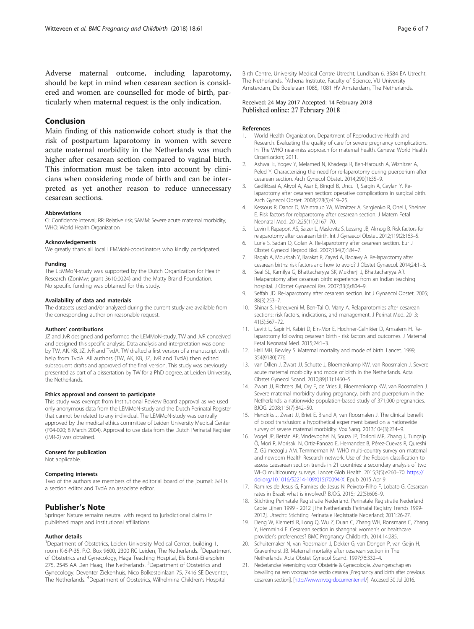<span id="page-5-0"></span>Adverse maternal outcome, including laparotomy, should be kept in mind when cesarean section is considered and women are counselled for mode of birth, particularly when maternal request is the only indication.

## Conclusion

Main finding of this nationwide cohort study is that the risk of postpartum laparotomy in women with severe acute maternal morbidity in the Netherlands was much higher after cesarean section compared to vaginal birth. This information must be taken into account by clinicians when considering mode of birth and can be interpreted as yet another reason to reduce unnecessary cesarean sections.

#### Abbreviations

CI: Confidence interval; RR: Relative risk; SAMM: Severe acute maternal morbidity; WHO: World Health Organization

#### Acknowledgements

We greatly thank all local LEMMoN-coordinators who kindly participated.

#### Funding

The LEMMoN-study was supported by the Dutch Organization for Health Research (ZonMw; grant 3610.0024) and the Matty Brand Foundation. No specific funding was obtained for this study.

#### Availability of data and materials

The datasets used and/or analyzed during the current study are available from the corresponding author on reasonable request.

#### Authors' contributions

JZ and JvR designed and performed the LEMMoN-study. TW and JvR conceived and designed this specific analysis. Data analysis and interpretation was done by TW, AK, KB, JZ, JvR and TvdA. TW drafted a first version of a manuscript with help from TvdA. All authors (TW, AK, KB, JZ, JvR and TvdA) then edited subsequent drafts and approved of the final version. This study was previously presented as part of a dissertation by TW for a PhD degree, at Leiden University, the Netherlands.

#### Ethics approval and consent to participate

This study was exempt from Institutional Review Board approval as we used only anonymous data from the LEMMoN-study and the Dutch Perinatal Register that cannot be related to any individual. The LEMMoN-study was centrally approved by the medical ethics committee of Leiden University Medical Center (P04-020; 8 March 2004). Approval to use data from the Dutch Perinatal Register (LVR-2) was obtained.

#### Consent for publication

Not applicable.

#### Competing interests

Two of the authors are members of the editorial board of the journal: JvR is a section editor and TvdA an associate editor.

## Publisher's Note

Springer Nature remains neutral with regard to jurisdictional claims in published maps and institutional affiliations.

### Author details

<sup>1</sup>Department of Obstetrics, Leiden University Medical Center, building 1, room K-6-P-35, P.O. Box 9600, 2300 RC Leiden, The Netherlands. <sup>2</sup>Department of Obstetrics and Gynecology, Haga Teaching Hospital, Els Borst-Eilersplein 275, 2545 AA Den Haag, The Netherlands. <sup>3</sup>Department of Obstetrics and Gynecology, Deventer Ziekenhuis, Nico Bolkesteinlaan 75, 7416 SE Deventer, The Netherlands. <sup>4</sup>Department of Obstetrics, Wilhelmina Children's Hospital

Birth Centre, University Medical Centre Utrecht, Lundlaan 6, 3584 EA Utrecht, The Netherlands. <sup>5</sup>Athena Institute, Faculty of Science, VU University Amsterdam, De Boelelaan 1085, 1081 HV Amsterdam, The Netherlands.

#### Received: 24 May 2017 Accepted: 14 February 2018 Published online: 27 February 2018

#### References

- 1. World Health Organization, Department of Reproductive Health and Research. Evaluating the quality of care for severe pregnancy complications. In: The WHO near-miss approach for maternal health. Geneva: World Health Organization; 2011.
- 2. Ashwal E, Yogev Y, Melamed N, Khadega R, Ben-Haroush A, Wiznitzer A, Peled Y. Characterizing the need for re-laparotomy during puerperium after cesarean section. Arch Gynecol Obstet. 2014;290(1):35–9.
- 3. Gedikbasi A, Akyol A, Asar E, Bingol B, Uncu R, Sargin A, Ceylan Y. Relaparotomy after cesarean section: operative complications in surgical birth. Arch Gynecol Obstet. 2008;278(5):419–25.
- 4. Kessous R, Danor D, Weintraub YA, Wiznitzer A, Sergienko R, Ohel I, Sheiner E. Risk factors for relaparotomy after cesarean section. J Matern Fetal Neonatal Med. 2012;25(11):2167–70.
- 5. Levin I, Rapaport AS, Salzer L, Maslovitz S, Lessing JB, Almog B. Risk factors for relaparotomy after cesarean birth. Int J Gynaecol Obstet. 2012;119(2):163–5.
- 6. Lurie S, Sadan O, Golan A. Re-laparotomy after cesarean section. Eur J Obstet Gynecol Reprod Biol. 2007;134(2):184–7.
- 7. Ragab A, Mousbah Y, Barakat R, Zayed A, Badawy A. Re-laparotomy after cesarean births: risk factors and how to avoid? J Obstet Gynaecol. 2014;24:1–3.
- 8. Seal SL, Kamilya G, Bhattacharyya SK, Mukherji J, Bhattacharyya AR. Relaparotomy after cesarean birth: experience from an Indian teaching hospital. J Obstet Gynaecol Res. 2007;33(6):804–9.
- 9. Seffah JD. Re-laparotomy after cesarean section. Int J Gynaecol Obstet. 2005; 88(3):253–7.
- 10. Shinar S, Hareuveni M, Ben-Tal O, Many A. Relaparotomies after cesarean sections: risk factors, indications, and management. J Perinat Med. 2013; 41(5):567–72.
- 11. Levitt L, Sapir H, Kabiri D, Ein-Mor E, Hochner-Celnikier D, Amsalem H. Relaparotomy following cesarean birth - risk factors and outcomes. J Maternal Fetal Neonatal Med. 2015;24:1–3.
- 12. Hall MH, Bewley S. Maternal mortality and mode of birth. Lancet. 1999; 354(9180):776.
- 13. van Dillen J, Zwart JJ, Schutte J, Bloemenkamp KW, van Roosmalen J. Severe acute maternal morbidity and mode of birth in the Netherlands. Acta Obstet Gynecol Scand. 2010;89(11):1460–5.
- 14. Zwart JJ, Richters JM, Ory F, de Vries JI, Bloemenkamp KW, van Roosmalen J. Severe maternal morbidity during pregnancy, birth and puerperium in the Netherlands: a nationwide population-based study of 371,000 pregnancies. BJOG. 2008;115(7):842–50.
- 15. Hendriks J, Zwart JJ, Briët E, Brand A, van Roosmalen J. The clinical benefit of blood transfusion: a hypothetical experiment based on a nationwide survey of severe maternal morbidity. Vox Sang. 2013;104(3):234–9.
- 16. Vogel JP, Betrán AP, Vindevoghel N, Souza JP, Torloni MR, Zhang J, Tunçalp Ö, Mori R, Morisaki N, Ortiz-Panozo E, Hernandez B, Pérez-Cuevas R, Qureshi Z, Gülmezoglu AM. Temmerman M; WHO multi-country survey on maternal and newborn Health Research network. Use of the Robson classification to assess caesarean section trends in 21 countries: a secondary analysis of two WHO multicountry surveys. Lancet Glob Health. 2015;3(5):e260–70. [https://](https://doi.org/10.1016/S2214-109X(15)70094-X) [doi.org/10.1016/S2214-109X\(15\)70094-X.](https://doi.org/10.1016/S2214-109X(15)70094-X) Epub 2015 Apr 9
- 17. Ramires de Jesus G, Ramires de Jesus N, Peixoto-Filho F, Lobato G. Cesarean rates in Brazil: what is involved? BJOG. 2015;122(5):606–9.
- 18. Stichting Perinatale Registratie Nederland. Perinatale Registratie Nederland Grote Lijnen 1999 - 2012 [The Netherlands Perinatal Registry Trends 1999- 2012]. Utrecht: Stichting Perinatale Registratie Nederland; 2011:26-27.
- 19. Deng W, Klemetti R, Long Q, Wu Z, Duan C, Zhang WH, Ronsmans C, Zhang Y, Hemminki E. Cesarean section in shanghai: women's or healthcare provider's preferences? BMC Pregnancy Childbirth. 2014;14:285.
- 20. Schuitemaker N, van Roosmalen J, Dekker G, van Dongen P, van Geijn H, Gravenhorst JB. Maternal mortality after cesarean section in The Netherlands. Acta Obstet Gynecol Scand. 1997;76:332–4.
- 21. Nederlandse Vereniging voor Obstetrie & Gynecologie. Zwangerschap en bevalling na een voorgaande sectio cesarea [Pregnancy and birth after previous cesarean section]. [\[http://www.nvog-documenten.nl](http://www.nvog-documenten.nl)/]. Accesed 30 Jul 2016.